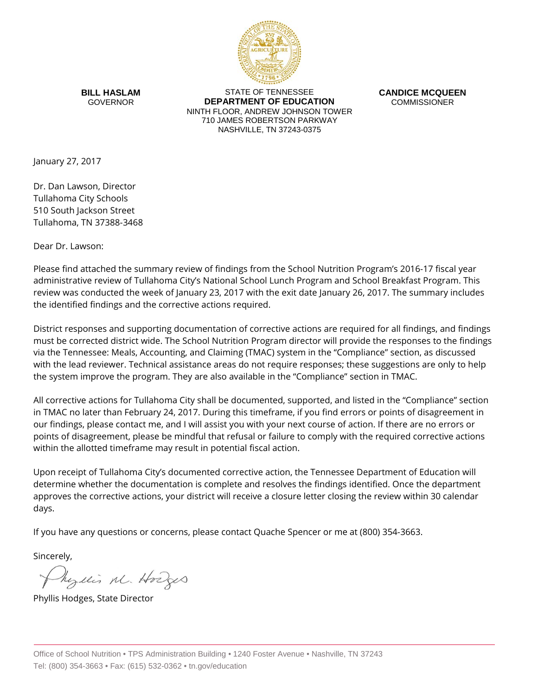

**BILL HASLAM** GOVERNOR

STATE OF TENNESSEE **DEPARTMENT OF EDUCATION** NINTH FLOOR, ANDREW JOHNSON TOWER 710 JAMES ROBERTSON PARKWAY NASHVILLE, TN 37243-0375

**CANDICE MCQUEEN** COMMISSIONER

January 27, 2017

Dr. Dan Lawson, Director Tullahoma City Schools 510 South Jackson Street Tullahoma, TN 37388-3468

Dear Dr. Lawson:

Please find attached the summary review of findings from the School Nutrition Program's 2016-17 fiscal year administrative review of Tullahoma City's National School Lunch Program and School Breakfast Program. This review was conducted the week of January 23, 2017 with the exit date January 26, 2017. The summary includes the identified findings and the corrective actions required.

District responses and supporting documentation of corrective actions are required for all findings, and findings must be corrected district wide. The School Nutrition Program director will provide the responses to the findings via the Tennessee: Meals, Accounting, and Claiming (TMAC) system in the "Compliance" section, as discussed with the lead reviewer. Technical assistance areas do not require responses; these suggestions are only to help the system improve the program. They are also available in the "Compliance" section in TMAC.

All corrective actions for Tullahoma City shall be documented, supported, and listed in the "Compliance" section in TMAC no later than February 24, 2017. During this timeframe, if you find errors or points of disagreement in our findings, please contact me, and I will assist you with your next course of action. If there are no errors or points of disagreement, please be mindful that refusal or failure to comply with the required corrective actions within the allotted timeframe may result in potential fiscal action.

Upon receipt of Tullahoma City's documented corrective action, the Tennessee Department of Education will determine whether the documentation is complete and resolves the findings identified. Once the department approves the corrective actions, your district will receive a closure letter closing the review within 30 calendar days.

If you have any questions or concerns, please contact Quache Spencer or me at (800) 354-3663.

Sincerely,

Myllis M. Hodges

Phyllis Hodges, State Director